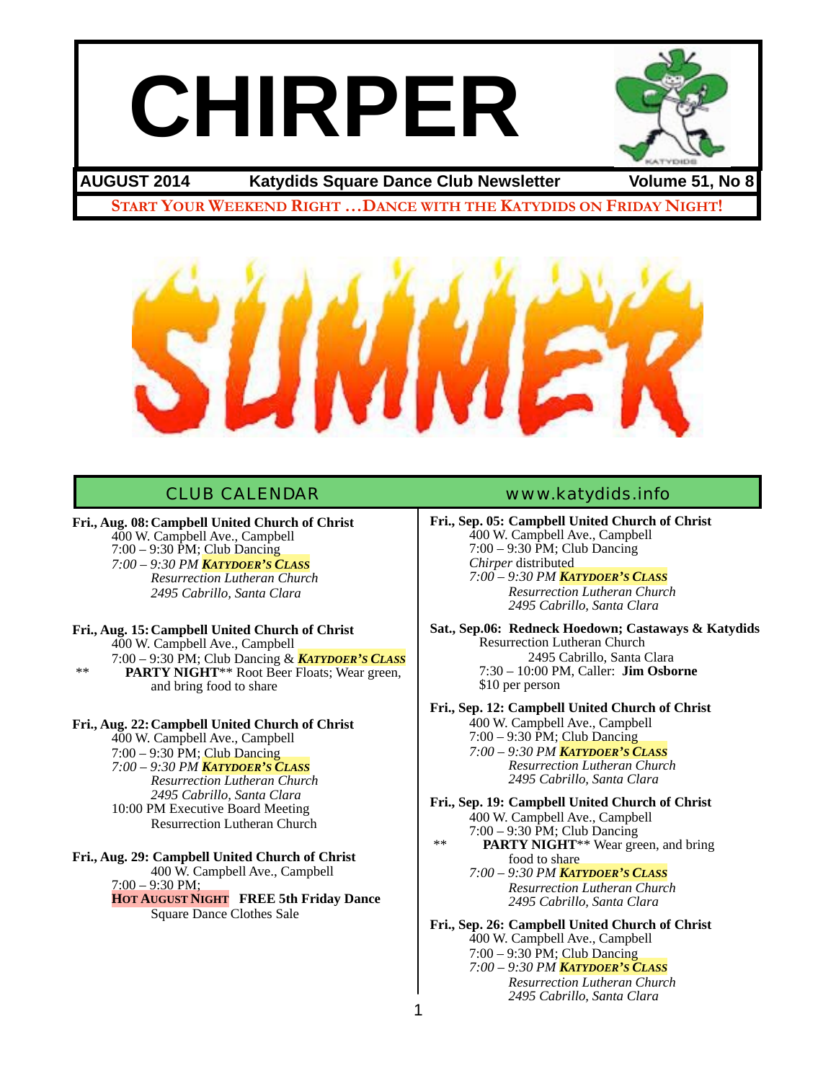# **CHIRPER**



## **AUGUST 2014 Katydids Square Dance Club Newsletter Volume 51, No 8**

**START YOUR WEEKEND RIGHT …DANCE WITH THE KATYDIDS ON FRIDAY NIGHT!**



**Fri., Aug. 08:Campbell United Church of Christ** 400 W. Campbell Ave., Campbell  $7:00 - 9:30$  PM; Club Dancing

*7:00 – 9:30 PM KATYDOER'S CLASS! ! ! ! Resurrection Lutheran Church! ! ! ! ! 2495 Cabrillo, Santa Clara* 

**Fri., Aug. 15:Campbell United Church of Christ** 400 W. Campbell Ave., Campbell 7:00 – 9:30 PM; Club Dancing & *KATYDOER'S CLASS* \*\* **PARTY NIGHT**\*\* Root Beer Floats; Wear green, and bring food to share

#### **Fri., Aug. 22:Campbell United Church of Christ** 400 W. Campbell Ave., Campbell

7:00 – 9:30 PM; Club Dancing *7:00 – 9:30 PM KATYDOER'S CLASS! ! ! ! Resurrection Lutheran Church! ! ! ! ! 2495 Cabrillo, Santa Clara*  10:00 PM Executive Board Meeting **Resurrection Lutheran Church** 

## **Fri., Aug. 29: Campbell United Church of Christ**

! ! 400 W. Campbell Ave., Campbell 7:00 – 9:30 PM; **HOT AUGUST NIGHT FREE 5th Friday Dance** Square Dance Clothes Sale

## CLUB CALENDAR [www.katydids.info](http://www.katydids.info)

**Fri., Sep. 05: Campbell United Church of Christ** 400 W. Campbell Ave., Campbell 7:00 – 9:30 PM; Club Dancing *Chirper* distributed

*7:00 – 9:30 PM KATYDOER'S CLASS! ! ! ! Resurrection Lutheran Church! ! ! ! ! 2495 Cabrillo, Santa Clara* 

**Sat., Sep.06: Redneck Hoedown; Castaways & Katydids** Resurrection Lutheran Church 2495 Cabrillo, Santa Clara 7:30 – 10:00 PM, Caller: **Jim Osborne** \$10 per person

**Fri., Sep. 12: Campbell United Church of Christ** 400 W. Campbell Ave., Campbell 7:00 – 9:30 PM; Club Dancing *7:00 – 9:30 PM KATYDOER'S CLASS! ! ! ! Resurrection Lutheran Church! ! ! ! ! 2495 Cabrillo, Santa Clara*

**Fri., Sep. 19: Campbell United Church of Christ** 400 W. Campbell Ave., Campbell 7:00 – 9:30 PM; Club Dancing \*\* **PARTY NIGHT**\*\* Wear green, and bring

! ! food to share! ! *7:00 – 9:30 PM KATYDOER'S CLASS! ! ! ! Resurrection Lutheran Church! ! ! ! ! 2495 Cabrillo, Santa Clara*

**Fri., Sep. 26: Campbell United Church of Christ** 400 W. Campbell Ave., Campbell 7:00 – 9:30 PM; Club Dancing *7:00 – 9:30 PM KATYDOER'S CLASS! ! ! ! Resurrection Lutheran Church! ! ! ! ! 2495 Cabrillo, Santa Clara*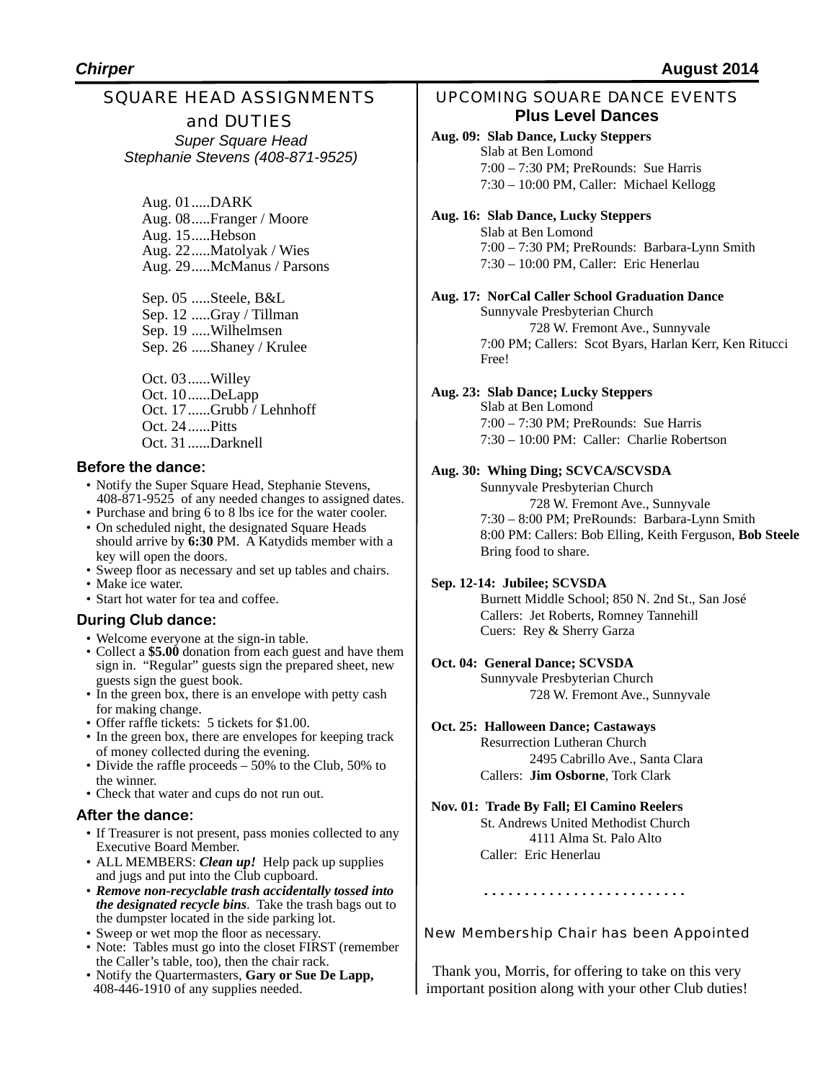## SQUARE HEAD ASSIGNMENTS

and DUTIES *Super Square Head Stephanie Stevens (408-871-9525)*

Aug. 01.....DARK Aug. 08.....Franger / Moore Aug. 15.....Hebson Aug. 22.....Matolyak / Wies Aug. 29.....McManus / Parsons

Sep. 05 .....Steele, B&L Sep. 12 .....Gray / Tillman Sep. 19 .....Wilhelmsen Sep. 26 .....Shaney / Krulee

Oct. 03......Willey Oct. 10......DeLapp Oct. 17......Grubb / Lehnhoff Oct. 24......Pitts Oct. 31......Darknell

## **Before the dance:**

- Notify the Super Square Head, Stephanie Stevens, 408-871-9525 of any needed changes to assigned dates.
- Purchase and bring 6 to 8 lbs ice for the water cooler. • On scheduled night, the designated Square Heads should arrive by **6:30** PM. A Katydids member with a key will open the doors.
- Sweep floor as necessary and set up tables and chairs.
- Make ice water.
- Start hot water for tea and coffee.

## **During Club dance:**

- Welcome everyone at the sign-in table.
- Collect a **\$5.00** donation from each guest and have them sign in. "Regular" guests sign the prepared sheet, new guests sign the guest book.
- In the green box, there is an envelope with petty cash for making change.
- Offer raffle tickets: 5 tickets for \$1.00.
- In the green box, there are envelopes for keeping track of money collected during the evening.
- Divide the raffle proceeds 50% to the Club, 50% to the winner.
- Check that water and cups do not run out.

## **After the dance:**

- If Treasurer is not present, pass monies collected to any Executive Board Member.
- ALL MEMBERS: *Clean up!* Help pack up supplies and jugs and put into the Club cupboard.
- *Remove non-recyclable trash accidentally tossed into the designated recycle bins*. Take the trash bags out to the dumpster located in the side parking lot.
- Sweep or wet mop the floor as necessary.
- Note: Tables must go into the closet FIRST (remember the Caller's table, too), then the chair rack.
- Notify the Quartermasters, **Gary or Sue De Lapp,**  408-446-1910 of any supplies needed.

## UPCOMING SQUARE DANCE EVENTS **Plus Level Dances**

#### **Aug. 09: Slab Dance, Lucky Steppers** Slab at Ben Lomond 7:00 – 7:30 PM; PreRounds: Sue Harris 7:30 – 10:00 PM, Caller: Michael Kellogg

#### **Aug. 16: Slab Dance, Lucky Steppers**

Slab at Ben Lomond 7:00 – 7:30 PM; PreRounds: Barbara-Lynn Smith 7:30 – 10:00 PM, Caller: Eric Henerlau

#### **Aug. 17: NorCal Caller School Graduation Dance**

Sunnyvale Presbyterian Church 728 W. Fremont Ave., Sunnyvale 7:00 PM; Callers: Scot Byars, Harlan Kerr, Ken Ritucci Free!

#### **Aug. 23: Slab Dance; Lucky Steppers**

Slab at Ben Lomond 7:00 – 7:30 PM; PreRounds: Sue Harris 7:30 – 10:00 PM: Caller: Charlie Robertson

## **Aug. 30: Whing Ding; SCVCA/SCVSDA**

Sunnyvale Presbyterian Church 728 W. Fremont Ave., Sunnyvale 7:30 – 8:00 PM; PreRounds: Barbara-Lynn Smith 8:00 PM: Callers: Bob Elling, Keith Ferguson, **Bob Steele** Bring food to share.

## **Sep. 12-14: Jubilee; SCVSDA**

Burnett Middle School; 850 N. 2nd St., San José Callers: Jet Roberts, Romney Tannehill Cuers: Rey & Sherry Garza

## **Oct. 04: General Dance; SCVSDA**

Sunnyvale Presbyterian Church 728 W. Fremont Ave., Sunnyvale

## **Oct. 25: Halloween Dance; Castaways**

Resurrection Lutheran Church 2495 Cabrillo Ave., Santa Clara Callers: **Jim Osborne**, Tork Clark

## **Nov. 01: Trade By Fall; El Camino Reelers**

St. Andrews United Methodist Church ! ! 4111 Alma St. Palo Alto Caller: Eric Henerlau

## 

New Membership Chair has been Appointed

Thank you, Morris, for offering to take on this very important position along with your other Club duties!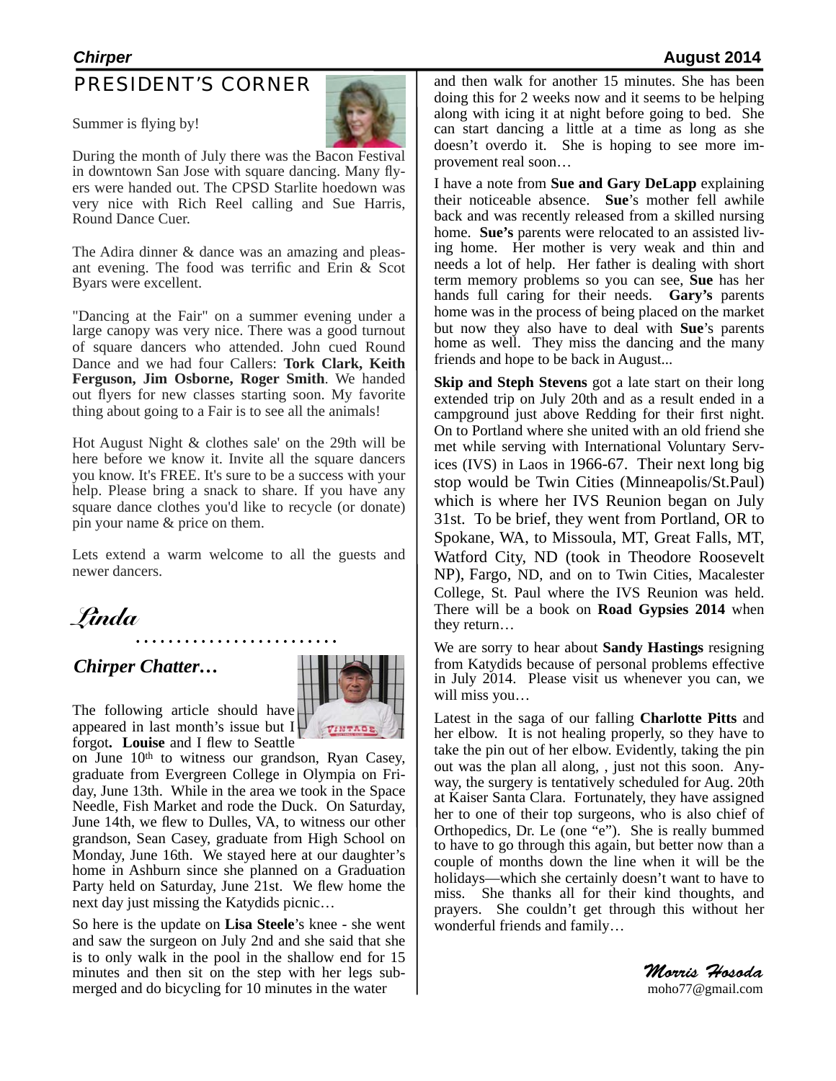## PRESIDENT'S CORNER

Summer is flying by!



ers were handed out. The CPSD Starlite hoedown was During the month of July there was the Bacon Festival in downtown San Jose with square dancing. Many flyvery nice with Rich Reel calling and Sue Harris, Round Dance Cuer.

The Adira dinner & dance was an amazing and pleasant evening. The food was terrific and Erin & Scot Byars were excellent.

"Dancing at the Fair" on a summer evening under a large canopy was very nice. There was a good turnout of square dancers who attended. John cued Round Dance and we had four Callers: **Tork Clark, Keith Ferguson, Jim Osborne, Roger Smith**. We handed out flyers for new classes starting soon. My favorite thing about going to a Fair is to see all the animals!

Hot August Night & clothes sale' on the 29th will be here before we know it. Invite all the square dancers you know. It's FREE. It's sure to be a success with your help. Please bring a snack to share. If you have any square dance clothes you'd like to recycle (or donate) pin your name & price on them.

Lets extend a warm welcome to all the guests and newer dancers.

## *Chirper Chatter…*



The following article should have appeared in last month's issue but  $I_{\pm}$ forgot**. Louise** and I flew to Seattle

on June 10<sup>th</sup> to witness our grandson, Ryan Casey, graduate from Evergreen College in Olympia on Friday, June 13th. While in the area we took in the Space Needle, Fish Market and rode the Duck. On Saturday, June 14th, we flew to Dulles, VA, to witness our other grandson, Sean Casey, graduate from High School on Monday, June 16th. We stayed here at our daughter's home in Ashburn since she planned on a Graduation Party held on Saturday, June 21st. We flew home the next day just missing the Katydids picnic…

So here is the update on **Lisa Steele**'s knee - she went and saw the surgeon on July 2nd and she said that she is to only walk in the pool in the shallow end for 15 minutes and then sit on the step with her legs submerged and do bicycling for 10 minutes in the water

and then walk for another 15 minutes. She has been doing this for 2 weeks now and it seems to be helping along with icing it at night before going to bed. She can start dancing a little at a time as long as she doesn't overdo it. She is hoping to see more improvement real soon…

I have a note from **Sue and Gary DeLapp** explaining their noticeable absence. **Sue**'s mother fell awhile back and was recently released from a skilled nursing home. **Sue's** parents were relocated to an assisted living home. Her mother is very weak and thin and needs a lot of help. Her father is dealing with short term memory problems so you can see, **Sue** has her hands full caring for their needs. **Gary's** parents home was in the process of being placed on the market but now they also have to deal with **Sue**'s parents home as well. They miss the dancing and the many friends and hope to be back in August...

**Skip and Steph Stevens** got a late start on their long extended trip on July 20th and as a result ended in a campground just above Redding for their first night. On to Portland where she united with an old friend she met while serving with International Voluntary Services (IVS) in Laos in 1966-67. Their next long big stop would be Twin Cities (Minneapolis/St.Paul) which is where her IVS Reunion began on July 31st. To be brief, they went from Portland, OR to Spokane, WA, to Missoula, MT, Great Falls, MT, Watford City, ND (took in Theodore Roosevelt NP), Fargo, ND, and on to Twin Cities, Macalester College, St. Paul where the IVS Reunion was held. There will be a book on **Road Gypsies 2014** when they return…

We are sorry to hear about **Sandy Hastings** resigning from Katydids because of personal problems effective in July 2014. Please visit us whenever you can, we will miss you…

Latest in the saga of our falling **Charlotte Pitts** and her elbow. It is not healing properly, so they have to take the pin out of her elbow. Evidently, taking the pin out was the plan all along, , just not this soon. Anyway, the surgery is tentatively scheduled for Aug. 20th at Kaiser Santa Clara. Fortunately, they have assigned her to one of their top surgeons, who is also chief of Orthopedics, Dr. Le (one "e"). She is really bummed to have to go through this again, but better now than a couple of months down the line when it will be the holidays—which she certainly doesn't want to have to miss. She thanks all for their kind thoughts, and prayers. She couldn't get through this without her wonderful friends and family…

> *Morris Hosoda* [moho77@gmail.com](mailto:moho77@gmail.com)

## *Chirper* **August 2014**

*Linda*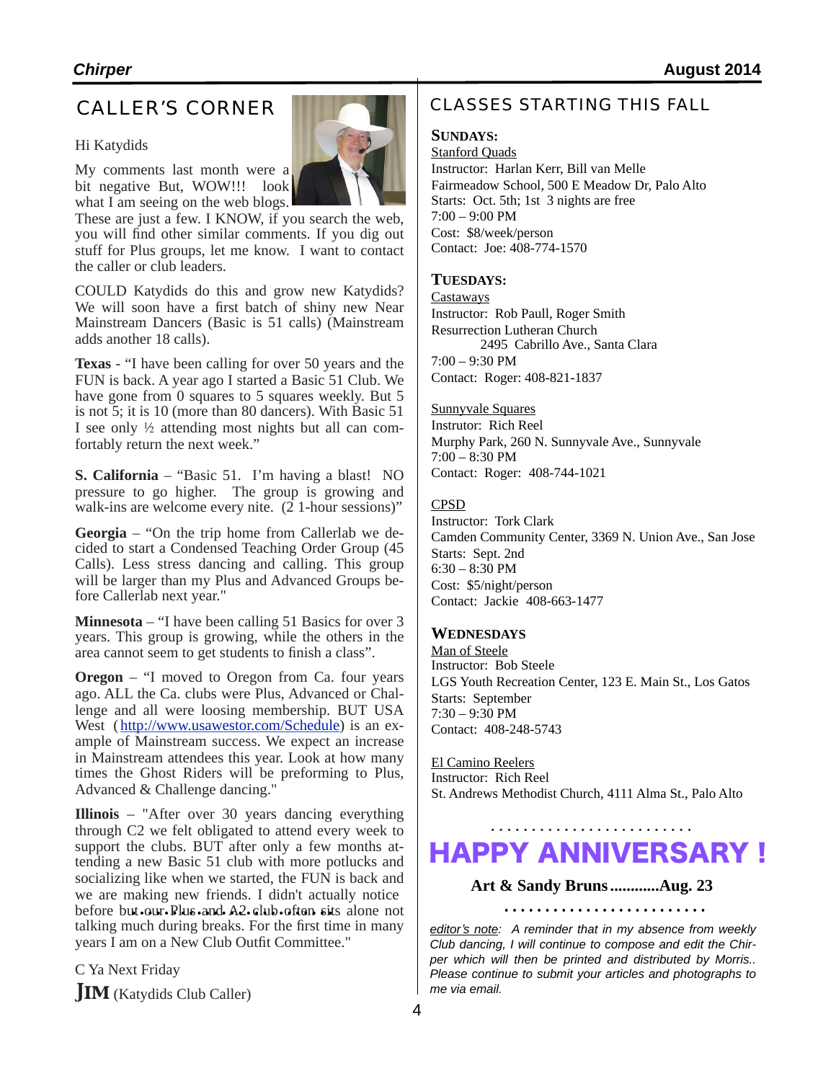## CALLER'S CORNER

## Hi Katydids

My comments last month were a bit negative But, WOW!!! look what I am seeing on the web blogs.

These are just a few. I KNOW, if you search the web, you will find other similar comments. If you dig out stuff for Plus groups, let me know. I want to contact the caller or club leaders.

COULD Katydids do this and grow new Katydids? We will soon have a first batch of shiny new Near Mainstream Dancers (Basic is 51 calls) (Mainstream adds another 18 calls).

**Texas** - "I have been calling for over 50 years and the FUN is back. A year ago I started a Basic 51 Club. We have gone from 0 squares to 5 squares weekly. But 5 is not 5; it is 10 (more than 80 dancers). With Basic 51 I see only ½ attending most nights but all can comfortably return the next week."

**S. California** – "Basic 51. I'm having a blast! NO pressure to go higher. The group is growing and walk-ins are welcome every nite.  $(2 1$ -hour sessions)"

**Georgia** – "On the trip home from Callerlab we decided to start a Condensed Teaching Order Group (45 Calls). Less stress dancing and calling. This group will be larger than my Plus and Advanced Groups be-<br>fore Callerlab next year."

**Minnesota** – "I have been calling 51 Basics for over 3 years. This group is growing, while the others in the area cannot seem to get students to finish a class".

**Oregon** – "I moved to Oregon from Ca. four years ago. ALL the Ca. clubs were Plus, Advanced or Challenge and all were loosing membership. BUT USA West ([http://www.usawestor.com/Schedule\)](http://www.usawestor.com/Schedule) is an example of Mainstream success. We expect an increase in Mainstream attendees this year. Look at how many times the Ghost Riders will be preforming to Plus, Advanced & Challenge dancing."

**Illinois** – "After over 30 years dancing everything through C2 we felt obligated to attend every week to support the clubs. BUT after only a few months attending a new Basic 51 club with more potlucks and socializing like when we started, the FUN is back and we are making new friends. I didn't actually notice before but our Plus and A2 club often sits alone not talking much during breaks. For the first time in many years I am on a New Club Outfit Committee."

C Ya Next Friday **JIM** (Katydids Club Caller)

## CLASSES STARTING THIS FALL

## **SUNDAYS:**

Stanford Quads Instructor: Harlan Kerr, Bill van Melle Fairmeadow School, 500 E Meadow Dr, Palo Alto Starts: Oct. 5th; 1st 3 nights are free 7:00 – 9:00 PM Cost: \$8/week/person Contact: Joe: 408-774-1570

## **TUESDAYS:**

**Castaways** Instructor: Rob Paull, Roger Smith Resurrection Lutheran Church 2495 Cabrillo Ave., Santa Clara  $7:00 - 9:30$  PM Contact: Roger: 408-821-1837

Sunnyvale Squares

Instrutor: Rich Reel Murphy Park, 260 N. Sunnyvale Ave., Sunnyvale 7:00 – 8:30 PM Contact: Roger: 408-744-1021

#### CPSD

Instructor: Tork Clark Camden Community Center, 3369 N. Union Ave., San Jose Starts: Sept. 2nd 6:30 – 8:30 PM Cost: \$5/night/person Contact: Jackie 408-663-1477

## **WEDNESDAYS**

Man of Steele Instructor: Bob Steele LGS Youth Recreation Center, 123 E. Main St., Los Gatos Starts: September 7:30 – 9:30 PM Contact: 408-248-5743

El Camino Reelers Instructor: Rich Reel St. Andrews Methodist Church, 4111 Alma St., Palo Alto

# HAPPY ANNIVERSARY !

## **Art & Sandy Bruns............Aug. 23**

*editor*'*s note: A reminder that in my absence from weekly Club dancing, I will continue to compose and edit the Chirper which will then be printed and distributed by Morris.. Please continue to submit your articles and photographs to me via email.*

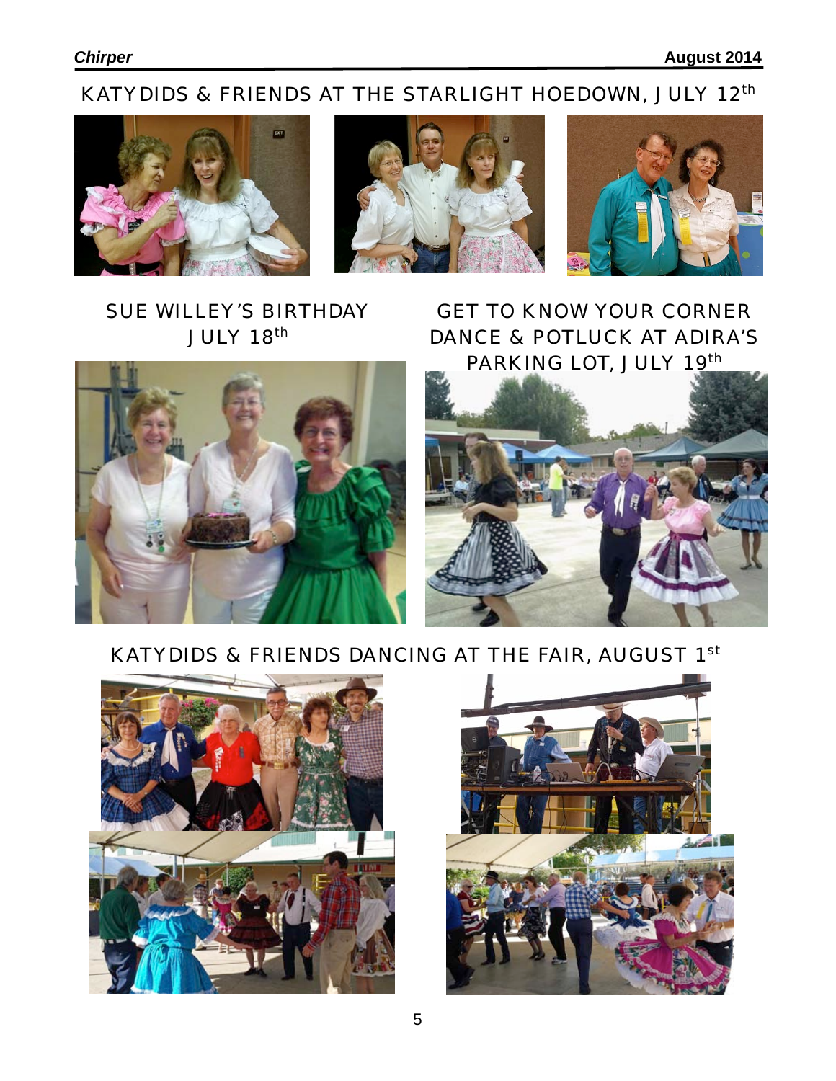# KATYDIDS & FRIENDS AT THE STARLIGHT HOEDOWN, JULY 12<sup>th</sup>







## SUE WILLEY'S BIRTHDAY JULY 18th



GET TO KNOW YOUR CORNER DANCE & POTLUCK AT ADIRA'S PARKING LOT, JULY 19th



## KATYDIDS & FRIENDS DANCING AT THE FAIR, AUGUST 1st



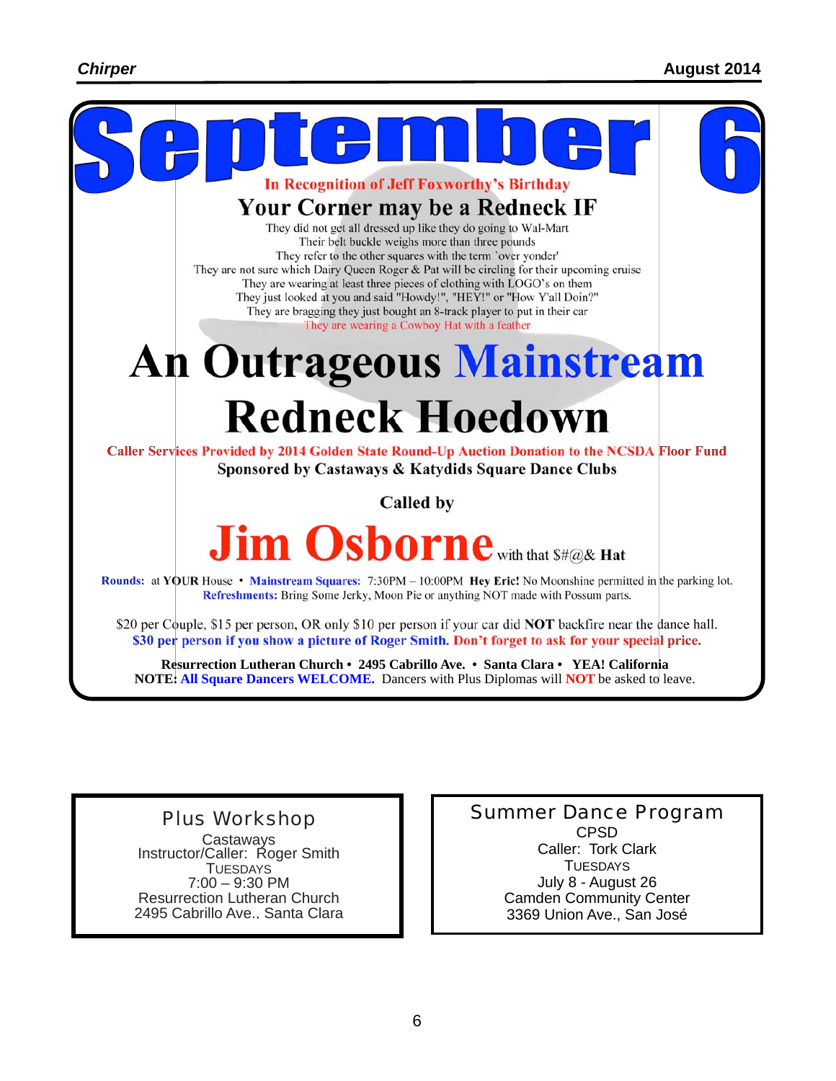

Refreshments: Bring Some Jerky, Moon Pie or anything NOT made with Possum parts.

\$20 per Couple, \$15 per person, OR only \$10 per person if your car did NOT backfire near the dance hall. \$30 per person if you show a picture of Roger Smith. Don't forget to ask for your special price.

**Resurrection Lutheran Church • 2495 Cabrillo Ave. • Santa Clara • YEA! California NOTE: All Square Dancers WELCOME.** Dancers with Plus Diplomas will **NOT** be asked to leave.

Plus Workshop Castaways<br>Instructor/Caller: Roger Smith TUESDAYS 7:00 – 9:30 PM Resurrection Lutheran Church 2495 Cabrillo Ave., Santa Clara Summer Dance Program CPSD Caller: Tork Clark **TUESDAYS** July 8 - August 26 Camden Community Center 3369 Union Ave., San José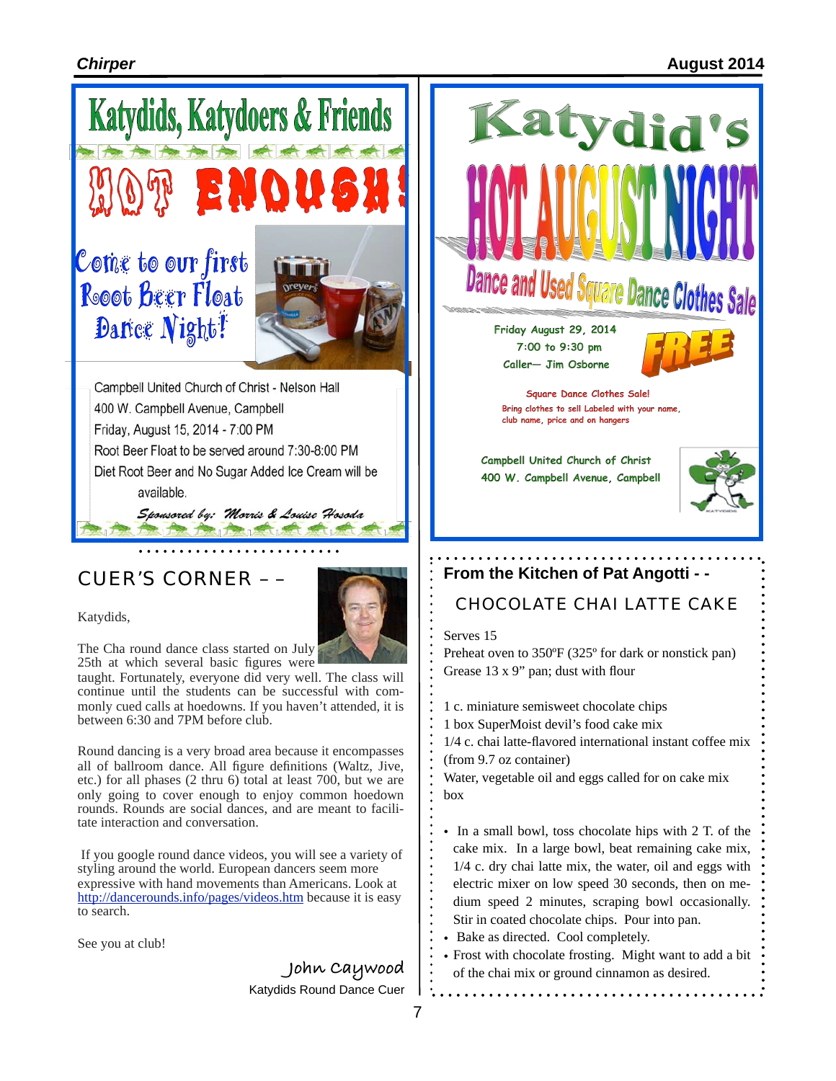## *Chirper* **August 2014**





Katydids,

The Cha round dance class started on July 25th at which several basic figures were

taught. Fortunately, everyone did very well. The class will continue until the students can be successful with commonly cued calls at hoedowns. If you haven't attended, it is between 6:30 and 7PM before club.

Round dancing is a very broad area because it encompasses all of ballroom dance. All figure definitions (Waltz, Jive, etc.) for all phases (2 thru 6) total at least 700, but we are only going to cover enough to enjoy common hoedown rounds. Rounds are social dances, and are meant to facili- tate interaction and conversation.

If you google round dance videos, you will see a variety of styling around the world. European dancers seem more expressive with hand movements than Americans. Look at <http://dancerounds.info/pages/videos.htm>because it is easy to search.

See you at club!

**John Caywood** Katydids Round Dance Cuer



Preheat oven to 350ºF (325º for dark or nonstick pan) Grease 13 x 9" pan; dust with flour

- 1 c. miniature semisweet chocolate chips
- 1 box SuperMoist devil's food cake mix
- 1/4 c. chai latte-flavored international instant coffee mix (from 9.7 oz container)

Water, vegetable oil and eggs called for on cake mix box

- In a small bowl, toss chocolate hips with 2 T. of the cake mix. In a large bowl, beat remaining cake mix, 1/4 c. dry chai latte mix, the water, oil and eggs with electric mixer on low speed 30 seconds, then on medium speed 2 minutes, scraping bowl occasionally. Stir in coated chocolate chips. Pour into pan.
- Bake as directed. Cool completely.
- Frost with chocolate frosting. Might want to add a bit of the chai mix or ground cinnamon as desired.